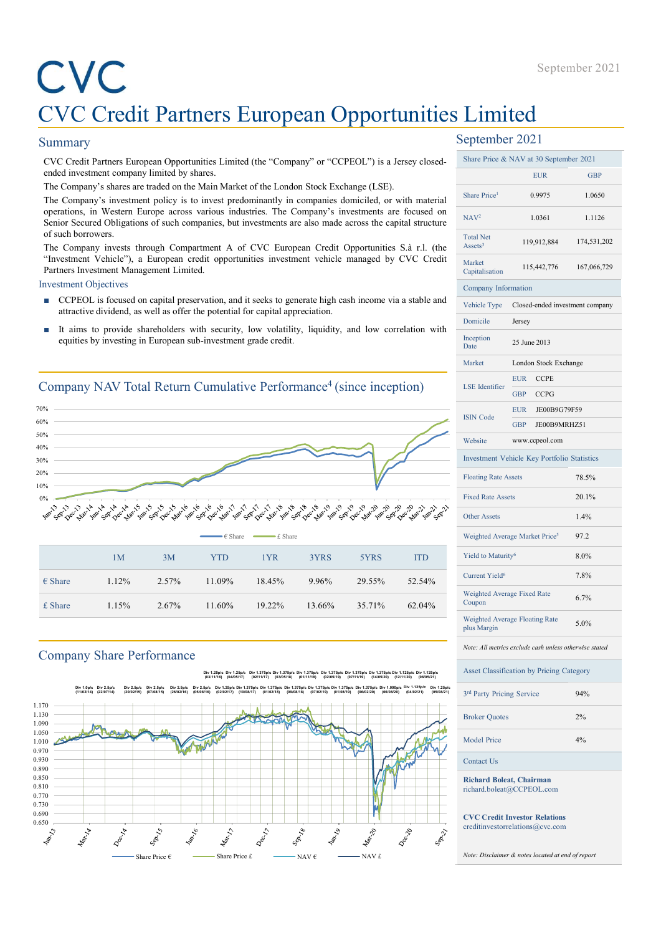# CVC Credit Partners European Opportunities Limited September 2021<br>CVC Credit Partners European Opportunities Limited<br>iummary September 2021<br>cocy Credit Parames European opporumities Limited (the "Company" or "CCPEOL") is a Jersey closed-<br>anded investment company limited by Separate Company September 2021<br>
CVC Credit Partners European Opportunities Limited<br>
Summary September 2021<br>
CVC Credit Partners European Opportunities Limited (the "Company" or "CCPEOL") is a Jersey closed<br>
and investment September 2021<br>
September 2021<br>
CVC Credit Partners European Cupportunities Limited<br>
Summary<br>
CVC Credit Partners European Opportunities Limited (the "Company" or "CCPEOL") is a Jensey closed<br>
and investigate are started i **The Company's shares are traded on the Main Market of the Lompany" or "CCPEOL") is a Jersey closed-<br>
September 2021<br>
The Company's shares European Opportunities Limited (the "Company" or "CCPEOL") is a Jersey closed-<br>
an Superfunctions, in Western Europe across various industries.** The Company's or "CCFEOL") is a Jersey closed-<br>
Superfember 2021<br>
CVC Credit Partners. European Opportunities Limited (the "Company" or "CCFEOL") is a Jersey September 2021<br>
September 2021<br>
September 2021<br>
September 2021<br>
Sensitive different partners in a subsequence across the capital structure of the "Company" or "CCPEOL") is a Jersey closed-<br>
September 2021<br>
September 2021<br> **CVC Credit Partners European Opportunitis**<br>
CVC Credit Partners European Opportuniti<br>
Summary<br>
cvc Credit Partners European opportunities Limited (the "Company" or "CCPEOL") is a Jersey close<br>
ended investment company is September 2021<br>
TVC Credit Partners European Cupperant Opportunities Limited<br>
September 2021<br>
September 2021<br>
CVC Codit Partness Furopean Opportunities Limited (the "Company" or "CCPFOL") is a Jersey closed-<br>
Show Pixe & September 2021<br>
September 2021<br>
CVC Credit Partners European company" or "CCFCU") is a Jensey closed.<br>
September 2021<br>
CVC Credit Partners European Opportunities Limited (the "Company" or "CCFCU") is a Jensey closed.<br>
and **EXECTS CONSUMBER CONSUMBER CONSUMBER CONSUMBER CONSUMBER CONSUMBER CONSUMBER CONSUMBER CONSUMBER CONSUMBER CONSUMBER CONSUMBER CONSUMBER CONSUMBER CONSUMBER CONSUMBER THE COmpany's investment Company interest and the Mai**

# Summary

- 
- 

# Company NAV Total Return Cumulative Performance<sup>4</sup> (since inception)



# Company Share Performance



# September 2021

| CVC                          | <b>CVC Credit Partners European Opportunities Limited</b>                                                                                                                                                     |       |                           |                   |                                                                                                                                                                                                                                                                                                                                                                              |        |                                                                                                                                                                                           |                                       |                                                               | September 2021 |
|------------------------------|---------------------------------------------------------------------------------------------------------------------------------------------------------------------------------------------------------------|-------|---------------------------|-------------------|------------------------------------------------------------------------------------------------------------------------------------------------------------------------------------------------------------------------------------------------------------------------------------------------------------------------------------------------------------------------------|--------|-------------------------------------------------------------------------------------------------------------------------------------------------------------------------------------------|---------------------------------------|---------------------------------------------------------------|----------------|
| <b>Summary</b>               |                                                                                                                                                                                                               |       |                           |                   |                                                                                                                                                                                                                                                                                                                                                                              |        |                                                                                                                                                                                           | September 2021                        |                                                               |                |
|                              | CVC Credit Partners European Opportunities Limited (the "Company" or "CCPEOL") is a Jersey closed-                                                                                                            |       |                           |                   |                                                                                                                                                                                                                                                                                                                                                                              |        |                                                                                                                                                                                           |                                       | Share Price & NAV at 30 September 2021                        |                |
|                              | ended investment company limited by shares.                                                                                                                                                                   |       |                           |                   |                                                                                                                                                                                                                                                                                                                                                                              |        |                                                                                                                                                                                           |                                       | <b>EUR</b>                                                    | GBP            |
|                              | The Company's shares are traded on the Main Market of the London Stock Exchange (LSE).<br>The Company's investment policy is to invest predominantly in companies domiciled, or with material                 |       |                           |                   |                                                                                                                                                                                                                                                                                                                                                                              |        |                                                                                                                                                                                           | Share Price <sup>1</sup>              | 0.9975                                                        | 1.0650         |
|                              | operations, in Western Europe across various industries. The Company's investments are focused on<br>Senior Secured Obligations of such companies, but investments are also made across the capital structure |       |                           |                   |                                                                                                                                                                                                                                                                                                                                                                              |        |                                                                                                                                                                                           | NAV <sup>2</sup>                      | 1.0361                                                        | 1.1126         |
| of such borrowers.           |                                                                                                                                                                                                               |       |                           |                   |                                                                                                                                                                                                                                                                                                                                                                              |        |                                                                                                                                                                                           | <b>Total Net</b>                      | 119,912,884                                                   | 174,531,202    |
|                              | The Company invests through Compartment A of CVC European Credit Opportunities S.à r.l. (the<br>"Investment Vehicle"), a European credit opportunities investment vehicle managed by CVC Credit               |       |                           |                   |                                                                                                                                                                                                                                                                                                                                                                              |        |                                                                                                                                                                                           | Assets <sup>3</sup><br>Market         |                                                               |                |
| <b>Investment Objectives</b> | Partners Investment Management Limited.                                                                                                                                                                       |       |                           |                   |                                                                                                                                                                                                                                                                                                                                                                              |        |                                                                                                                                                                                           | Capitalisation                        | 115,442,776                                                   | 167,066,729    |
|                              | ■ CCPEOL is focused on capital preservation, and it seeks to generate high cash income via a stable and                                                                                                       |       |                           |                   |                                                                                                                                                                                                                                                                                                                                                                              |        |                                                                                                                                                                                           | Company Information<br>Vehicle Type   | Closed-ended investment company                               |                |
|                              | attractive dividend, as well as offer the potential for capital appreciation.                                                                                                                                 |       |                           |                   |                                                                                                                                                                                                                                                                                                                                                                              |        |                                                                                                                                                                                           | Domicile                              | Jersey                                                        |                |
|                              | It aims to provide shareholders with security, low volatility, liquidity, and low correlation with<br>equities by investing in European sub-investment grade credit.                                          |       |                           |                   |                                                                                                                                                                                                                                                                                                                                                                              |        |                                                                                                                                                                                           | Inception<br>Date                     | 25 June 2013                                                  |                |
|                              |                                                                                                                                                                                                               |       |                           |                   |                                                                                                                                                                                                                                                                                                                                                                              |        |                                                                                                                                                                                           | Market                                | London Stock Exchange                                         |                |
|                              |                                                                                                                                                                                                               |       |                           |                   |                                                                                                                                                                                                                                                                                                                                                                              |        |                                                                                                                                                                                           |                                       | EUR CCPE                                                      |                |
|                              | Company NAV Total Return Cumulative Performance <sup>4</sup> (since inception)                                                                                                                                |       |                           |                   |                                                                                                                                                                                                                                                                                                                                                                              |        |                                                                                                                                                                                           | <b>LSE</b> Identifier                 | CCPG<br>GBP                                                   |                |
| $0\%$<br>$0\%$               |                                                                                                                                                                                                               |       |                           |                   |                                                                                                                                                                                                                                                                                                                                                                              |        |                                                                                                                                                                                           | <b>ISIN Code</b>                      | JE00B9G79F59<br>EUR                                           |                |
| $0\%$                        |                                                                                                                                                                                                               |       |                           |                   |                                                                                                                                                                                                                                                                                                                                                                              |        |                                                                                                                                                                                           |                                       | GBP JE00B9MRHZ51                                              |                |
| $0\%$                        |                                                                                                                                                                                                               |       |                           |                   |                                                                                                                                                                                                                                                                                                                                                                              |        |                                                                                                                                                                                           | Website                               | www.ccpeol.com<br>Investment Vehicle Key Portfolio Statistics |                |
| 0%<br>0%                     |                                                                                                                                                                                                               |       |                           |                   |                                                                                                                                                                                                                                                                                                                                                                              |        |                                                                                                                                                                                           | <b>Floating Rate Assets</b>           |                                                               | 78.5%          |
| 0%                           |                                                                                                                                                                                                               |       |                           |                   |                                                                                                                                                                                                                                                                                                                                                                              |        |                                                                                                                                                                                           | <b>Fixed Rate Assets</b>              |                                                               | 20.1%          |
|                              |                                                                                                                                                                                                               |       |                           |                   |                                                                                                                                                                                                                                                                                                                                                                              |        |                                                                                                                                                                                           | Other Assets                          |                                                               | 1.4%           |
|                              |                                                                                                                                                                                                               |       | : Share                   | $-\epsilon$ Share |                                                                                                                                                                                                                                                                                                                                                                              |        |                                                                                                                                                                                           |                                       | Weighted Average Market Price <sup>5</sup>                    | 97.2           |
|                              | 1 <sub>M</sub>                                                                                                                                                                                                | 3M    | <b>YTD</b>                | 1YR               | 3YRS                                                                                                                                                                                                                                                                                                                                                                         | 5YRS   | <b>ITD</b>                                                                                                                                                                                | Yield to Maturity <sup>6</sup>        |                                                               | 8.0%           |
|                              |                                                                                                                                                                                                               |       |                           |                   |                                                                                                                                                                                                                                                                                                                                                                              |        |                                                                                                                                                                                           | Current Yield <sup>6</sup>            |                                                               | 7.8%           |
| $\epsilon$ Share             | 1.12%                                                                                                                                                                                                         | 2.57% | 11.09%                    | 18.45%            | 9.96%                                                                                                                                                                                                                                                                                                                                                                        | 29.55% | 52.54%                                                                                                                                                                                    |                                       | Weighted Average Fixed Rate                                   | 6.7%           |
| £ Share                      | 1.15%                                                                                                                                                                                                         | 2.67% | 11.60%                    | 19.22%            | 13.66%                                                                                                                                                                                                                                                                                                                                                                       | 35.71% | 62.04%                                                                                                                                                                                    | Coupon<br>plus Margin                 | Weighted Average Floating Rate                                | 5.0%           |
|                              |                                                                                                                                                                                                               |       |                           |                   |                                                                                                                                                                                                                                                                                                                                                                              |        |                                                                                                                                                                                           |                                       | Note: All metrics exclude cash unless otherwise stated        |                |
|                              | <b>Company Share Performance</b>                                                                                                                                                                              |       |                           |                   |                                                                                                                                                                                                                                                                                                                                                                              |        |                                                                                                                                                                                           |                                       | Asset Classification by Pricing Category                      |                |
|                              | Div 1.0p/c Div 2.5p/c<br>$(11/02/14)$ $(22/07/14)$                                                                                                                                                            |       | $(03/11/16)$ $(04/05/17)$ |                   | Div 1.25p/c Div 1.25p/c Div 1.375p/c Div 1.375p/c Div 1.375p/c Div 1.375p/c Div 1.375p/c Div 1.375p/c Div 1.125p/c Div 1.125p/c<br>(02/11/17) (03/05/18) (01/11/18) (02/05/19) (07/11/19) (14/05/20) (12/11/20) (06/05/21)<br>(20/02/15) (07/08/15) (26/02/16) (05/08/16) (02/02/17) (10/08/17) (01/02/18) (09/08/18) (07/02/19) (01/08/19) (06/02/20) (06/08/20) (04/02/21) |        | Div 2.5p/c Div 2.5p/c Div 2.5p/c Div 2.5p/c Div 1.25p/c Div 1.375p/c Div 1.375p/c Div 1.375p/c Div 1.375p/c Div 1.375p/c Div 1.375p/c Div 1.000p/c Div 1.125p/c Div 1.25p/c<br>(05/08/21) |                                       |                                                               |                |
| 170                          |                                                                                                                                                                                                               |       |                           |                   |                                                                                                                                                                                                                                                                                                                                                                              |        |                                                                                                                                                                                           | 3 <sup>rd</sup> Party Pricing Service |                                                               | 94%            |
| 130<br>090<br>050            |                                                                                                                                                                                                               |       |                           |                   |                                                                                                                                                                                                                                                                                                                                                                              |        |                                                                                                                                                                                           | <b>Broker Quotes</b>                  |                                                               | 2%             |
| 010<br>970                   |                                                                                                                                                                                                               |       |                           |                   |                                                                                                                                                                                                                                                                                                                                                                              |        |                                                                                                                                                                                           | <b>Model Price</b>                    |                                                               | 4%             |
| 930<br>890                   |                                                                                                                                                                                                               |       |                           |                   |                                                                                                                                                                                                                                                                                                                                                                              |        |                                                                                                                                                                                           | Contact Us                            |                                                               |                |
| 850                          |                                                                                                                                                                                                               |       |                           |                   |                                                                                                                                                                                                                                                                                                                                                                              |        |                                                                                                                                                                                           |                                       | <b>Richard Boleat, Chairman</b>                               |                |

richard.boleat@CCPEOL.com

CVC Credit Investor Relations creditinvestorrelations@cvc.com

Note: Disclaimer & notes located at end of report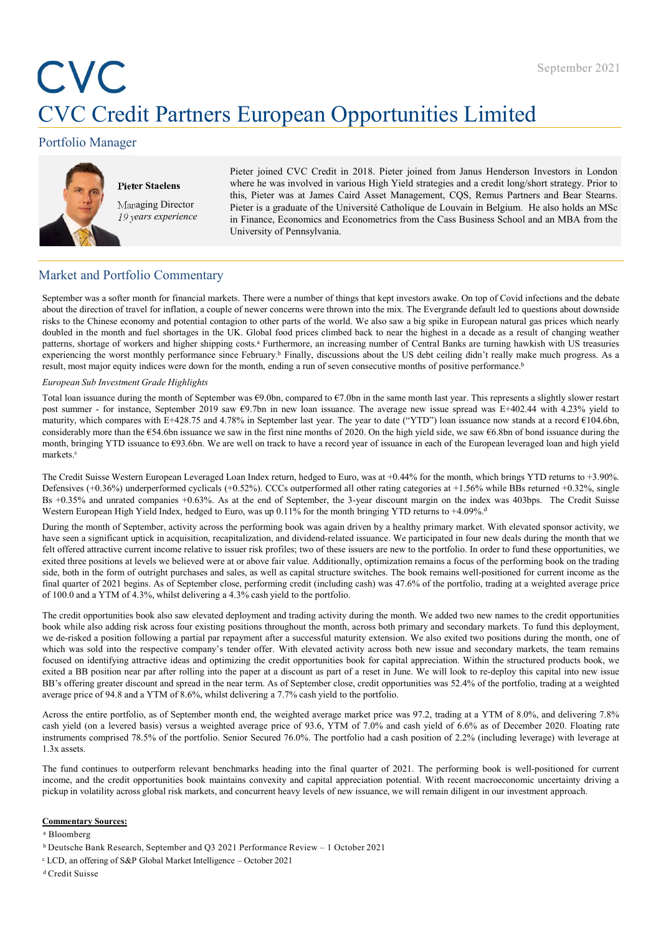# CVC Credit Partners European Opportunities Limited **Example 2018**<br> **Partners European Opportunities Limi**<br>
gger<br>
Pieter Staelens<br>
Pieter ipined CVC Credit in 2018. Pieter joined from Janus Hend<br>
Where he was involved in various High Yield strategies and a credit<br>
Managing

# Portfolio Manager



this, Pieter was at James Caird Asset Management, CQS, Remus Partners and Bear Stearns.<br>Managing Director Pieter is a graduate of the Université Catholique de Louvain in Belgium. He also holds an MSc 19 years experience in Finance, Economics and Econometrics from the Cass Business School and an MBA from the September 2021<br> **European Opportunities Limited**<br>
Pieter joined CVC Credit in 2018. Pieter joined from Janus Henderson Investors in London<br>
where he was involved in various High Yield strategies and a credit long/short str September 2021<br> **European Opportunities Limited**<br>
Pieter joined CVC Credit in 2018. Pieter joined from Janus Henderson Investors in London<br>
where he was involved in various High Yield strategies and a credit long/short str September 2021<br> **European Opportunities Limited**<br>
Pieter joined CVC Credit in 2018. Pieter joined from Janus Henderson Investors in London<br>
where he was involved in various High Yeild strategies and a credit longshort stra September 2021<br> **Pieter joined CVC Credit in 2018. Pieter joined from Janus Henderson Investors in London**<br>
Where he was involved in various High Yield strategies and a credit long/short strategy. Prior to<br>
this, Pieter wa September 2021<br> **European Opportunities Limited**<br>
Pieter joined CVC Credit in 2018. Pieter joined from Janus Henderson Investors in London<br>
where he was involved in various High Yield strategies and a credit long/short str September 2021<br> **European Opportunities Limited**<br>
Pieter joined CVC Credit in 2018. Pieter joined from Janus Henderson Investors in London<br>
where he was involved in various High Yield strategies and a credit long/short str

# Market and Portfolio Commentary

September 2021<br>
September 2021<br>
September 2021<br>
September 2021<br>
September 2021<br>
Pieter for financial control of VC Credit in 2018. Pieter joined from Janua Henderson Investors in London<br>
Where Studens<br>
Merkets are was a fu September 2021<br> **EXACO SECULE PARTINETS EUROPEAN OPPOINTUITIES Limited**<br>
Portfolio Manager<br>
Pieter Studens<br>
Pieter Studens<br>
Pieter Studens<br>
Pieter Studens<br>
Pieter is a graduate of the University of Cavid intervalse and en September 2021<br>
CVC Credit Partners European Opportunities Limited<br>
Moreover a controlling where stateless<br>
Nearly inter joined CVC Credit in 2018. Pieter pinel from Januar Henderson Investors in London<br>
Meter Stateless<br>
N doubled in the month and fuel shortages in the UK. Global food prices climbed back to near the highest in a decade as a result of changing weather patern ber 2021<br>
September 2021<br>
Patter joined CVC Credii n 2018. Pieter joined from Janus Henderson Investors in London<br>
Patter Statelers<br>
News angeles are search to the shipping short and high version in the shipping inc september 2021<br>
September 2021<br>
CVC Credit Partners European Opportunities Limited<br>
Peter joined for Credit in 2018. Pierr joined format since February in London<br>
Peter Suelens<br>
Peter state as a function of Credit in 2018. **EXEC Credit Partners European Opportunities Limited<br>
Portfolio Manager<br>
Price pinnel CVC Credit in 2018. Pieter joined from Januar Henderson Investors in London<br>
Peter Statelans<br>
The most consecutive month in 2018. Piete** TO C Credit Partners European Opportunities Limited (Corridian 2018 Fieler joined form Januar Henderson in London<br>
The State State Home State was involved in various High Yeal areaspected to represent the month of Septem Post summer - For instance of Formal Post Corelis in 2018. Pieter joined from James Henderson Insectors in London<br>
Trieter Students Present procedures and the Student Hender Wind attack that are instanced that contain the maturity of the standard of the maturity of the maturity of the maturity of the and a certific in spin and the standard at the standard at the standard at the standard at the standard at the standard at a relation of the Continuo valent general more than the more than the first nine considerably independent and the first nine more than the first nine considerably independent and Beach where the was involved in various High Yield sitemages **Free Students**<br> **Proper Students** which the was involved in various High Yield stategies and a credit longitudy track to the significant track to the CSs. Business Matter Stategies and the CSs. Business Matter Stategies Market and Rear Summer Fig. Prior was at large that is exact Amagement (CR). Remains Paris and Rear Market and Portfolio Commentary<br>
19 pars appertence in France, Economist and Economist Catholique de Loavia in Belgium. H **Example 1988** (here is a graduate of the Universit Catholique de Louvain in Belgium. He also holds an MSs<br>
19 years experience<br>
in Finance, Economies and Locommies from the Case Business School and an MHA from the<br>
Unive 19 years experience<br>
Environmentary<br>
Environmentary<br>
Environmentary<br>
Salarket and Portfolio Commentary<br>
Salarket and Portfolio Commentary<br>
Salarket and Portfolio Commentary<br>
Salarket and Portfolio Commentary<br>
Salarket and

University of Pennsylvania.<br>
Market and Portfolio Commentary<br>
September was a softer mond for financial market. There were a number of things that kept investors anode. On top of Cavid infections and the debate<br>
shown its Market and Portfolio Commentary<br>Sprencher was a softer moment of financial markets. There were a number of hines that kopt investors awake. On top of Covid infercions and the debate<br>absolut the direction of tused for unde Market and Portfolio Commentary<br>Separate was s atter month for financial matedack These verse a mather of things that logit investors order. On top of Covid includes a<br>show the discusse convert income for financial contrig Market and Portfolio Commentaty<br>September was a solen month for financia market, There were a marker of these livelet in the mix. The Progress-telestical the interesting<br>solender as a solen model of financia market, There September was a softer month for financial markets. There were a unnber of things that kept investors awde. On top of Covid infections and the debate<br>adsolute for discussion and the finding, a congles of wave conserve a c Spinal to the section of final controllar matricks. The waves a mathe of this pair that is performed with close south of the section and the debate of the final compared of the section and debate in the set of Schene comp about the direction of the distance to the state in the two consensus well as the New III and the forest<br>in the forest of the state of the state of the state in the state in the forest<br>state of the distance in the state of daballa in the meanth and fusi-divingum into UK. Critical final final final final final final final final final final final final final finally interesting monther of Central highest in a decisile at deviate in equil of th

partens, shortage of workers and higher shipping conts. Furthermore, an increasing munker of Central Banks are turining haw which in US increases the month, and increases the month, and increases for the month of the month experiencing the worst mentally performance inter-Brhany.<sup>2</sup> Emaily, decays<br>incellar participation for the month of September was 69.0bm, compared to F20bm is the successful maturity and the successor of order the successf whene may equivale the respect to the respective company in the respective company in the respective company is the respective company of  $\pi$  and the respective company is the respective company. This equilibrity shows e Foremoso Sub Ancestonen Grade Highlights<br>That has besues during the month of September Van S-800m, compared to F.0 m in the aneur month has part. This represents a highly-show-resear<br>The structure starting the month of Se exited an ones are of 2021 begins. An of Septenber was 49.00m, compared to 47.00m in the same month hat year. This represents a lightly showe restant that the measure of the measure of the measure of the measure of the mea Total too instance during the most<br>the New 17 of the near term. This represents the near term. As of September 19.19 as we spread in the summer most last spread was E-402.44 with  $4.23\%$  yield to consider the near term. average - for instances. Spenches and a Web 7% in law loan issues. The weaps energy assumpted was the 42.8% which a 2.8% case of 94.8 and a Web 14.8 and a Web 14.8 and a Web 14.8 and a Web 14.8 and a Web 14.8 and a Web 14. considerably more than the 624-6 has issues on a soft the first nine months of 2020. On the this yield side, we see 8.6.8 hot block as one and the significant of the properties."<br>
The Cocil Sinker European Leveranged Lean month, braining (YD) issuance to 093.6bn. We are well on track to have a record year of issuance in och def% for the month, which brings YTD returns a 13.90%.<br>The Credit Suisse Western European Leveraged Loan Index return, markets."<br>In Credit Stries: Western European Leveraged Loan Index return, hedged to Earty, was at 10.44% for the results, which birings YTD returns to 13.90%.<br>The Credit Voltage and mean comparises -16.8% As at the cash of The Credit Suisse Western European Leveraged Loan Index return, hedged to Euro, was at +0.44% f<br>Defensives (+0.36%) underperformed cyclicals (+0.52%). CCCs outperformed all other rating categes<br>198 +0.35% and unrated comp Decisions (40,36%) and comparison explicit is the SLSYs). CCCs ampetitional denter raining enterpretormed at 24% while BBs enterinal comparison of 2025. Again the final quarter and the final quarter and the final quarter Is (13.35% and the credit opportunities book most we see that the credit opportunities the credit opportunities book maintains convertible with  $\lambda$ -by-a capital apprential. With recent the credit opportunity are the cred Where European into New Interest markets, the concess go the Six for an easth brigging YTD remains of +40% of new issue. And concurrent heavy level risk markets may be the six markets may be the six markets markets and an have seen as iginificant uptick in acquisition, recapitalization, and dividend-elated issuares. We participated is acquisited in steady and the forecapied and the perfoliced issue respectively effect offreed attractive cur existing measures at leads we below secure of a show for reals. Additionally, epimberian encoinns a focus of the performance and the form of outing the set of the performance and Contact the bank Research (FIGU beginning t ane, non in an iontropi pureauses and saise, we we in equati smitter workers, into exercuative content and the content of the perform of the performance of the content of the content of the performance of the content of th

<sup>a</sup> Bloomberg

<sup>d</sup>Credit Suisse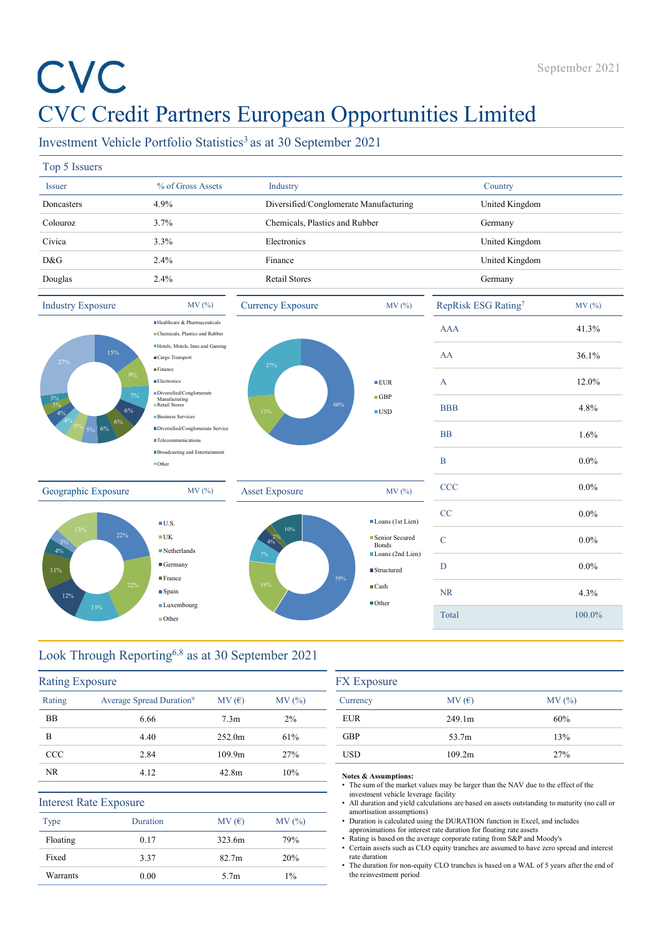# CVC Credit Partners European Opportunities Limited

|                               | CVC                                                                          |                          |                                         | CVC Credit Partners European Opportunities Limited                                                                                                                                                                                        | September 2021 |
|-------------------------------|------------------------------------------------------------------------------|--------------------------|-----------------------------------------|-------------------------------------------------------------------------------------------------------------------------------------------------------------------------------------------------------------------------------------------|----------------|
|                               | Investment Vehicle Portfolio Statistics <sup>3</sup> as at 30 September 2021 |                          |                                         |                                                                                                                                                                                                                                           |                |
| Top 5 Issuers                 |                                                                              |                          |                                         |                                                                                                                                                                                                                                           |                |
| <b>Issuer</b>                 | % of Gross Assets                                                            | Industry                 |                                         | Country                                                                                                                                                                                                                                   |                |
| Doncasters                    | 4.9%                                                                         |                          | Diversified/Conglomerate Manufacturing  | United Kingdom                                                                                                                                                                                                                            |                |
| Colouroz                      | 3.7%                                                                         |                          | Chemicals, Plastics and Rubber          | Germany                                                                                                                                                                                                                                   |                |
| Civica                        | 3.3%                                                                         | Electronics              |                                         | United Kingdom                                                                                                                                                                                                                            |                |
| D&G                           | 2.4%                                                                         | Finance                  |                                         | United Kingdom                                                                                                                                                                                                                            |                |
| Douglas                       | 2.4%                                                                         | Retail Stores            |                                         | Germany                                                                                                                                                                                                                                   |                |
| <b>Industry Exposure</b>      | MV (%)                                                                       | <b>Currency Exposure</b> | MV(%)                                   | RepRisk ESG Rating7                                                                                                                                                                                                                       | MV(%)          |
|                               | Healthcare & Pharmaceuticals<br>Chemicals, Plastics and Rubber               |                          |                                         | <b>AAA</b>                                                                                                                                                                                                                                | 41.3%          |
|                               | Hotels, Motels, Inns and Gaming<br>15%                                       |                          |                                         | AA                                                                                                                                                                                                                                        | 36.1%          |
| 27%                           | ■Cargo Transport<br>Finance                                                  | 27%                      |                                         |                                                                                                                                                                                                                                           |                |
|                               | <b>Electronics</b><br>Diversified/Conglomerate                               |                          | EUR                                     | A                                                                                                                                                                                                                                         | 12.0%          |
|                               | Manufacturing<br>Retail Stores<br><b>Business Services</b>                   |                          | $\Box$ GBP<br>60%<br>$\blacksquare$ USD | <b>BBB</b>                                                                                                                                                                                                                                | 4.8%           |
|                               | Diversified/Conglomerate Service                                             |                          |                                         | $\rm BB$                                                                                                                                                                                                                                  | 1.6%           |
|                               | Telecommunications<br><b>Broadcasting and Entertainment</b>                  |                          |                                         |                                                                                                                                                                                                                                           |                |
|                               | ■Other                                                                       |                          |                                         | B                                                                                                                                                                                                                                         | $0.0\%$        |
| Geographic Exposure           | MV (%)                                                                       | <b>Asset Exposure</b>    | MV (%)                                  | CCC                                                                                                                                                                                                                                       | $0.0\%$        |
|                               |                                                                              |                          |                                         | CC                                                                                                                                                                                                                                        | $0.0\%$        |
|                               | $\blacksquare$ U.S.<br>22%<br>$\blacksquare$ UK                              | 10%                      | Loans (1st Lien)<br>Senior Secured      | $\mathbf C$                                                                                                                                                                                                                               | $0.0\%$        |
|                               | Netherlands                                                                  |                          | Bonds<br>Loans (2nd Lien)               |                                                                                                                                                                                                                                           |                |
| 11%                           | $\blacksquare$ Germany<br>$\blacksquare$ France                              |                          | ■ Structured<br>59%                     | D                                                                                                                                                                                                                                         | $0.0\%$        |
| 12%                           | $\blacksquare$ Spain                                                         | 18%                      | $\blacksquare$ Cash                     | <b>NR</b>                                                                                                                                                                                                                                 | 4.3%           |
| 13%                           | ■Luxembourg<br>Other                                                         |                          | $\blacksquare$ Other                    | Total                                                                                                                                                                                                                                     | 100.0%         |
|                               |                                                                              |                          |                                         |                                                                                                                                                                                                                                           |                |
|                               | Look Through Reporting <sup>6,8</sup> as at 30 September 2021                |                          |                                         |                                                                                                                                                                                                                                           |                |
| <b>Rating Exposure</b>        |                                                                              |                          | <b>FX</b> Exposure                      |                                                                                                                                                                                                                                           |                |
| Rating                        | Average Spread Duration <sup>9</sup>                                         | MV(E)<br>MV (%)          | Currency                                | MV(E)                                                                                                                                                                                                                                     | MV(%)          |
| BB                            | 6.66                                                                         | 2%<br>7.3 <sub>m</sub>   | <b>EUR</b>                              | 249.1m                                                                                                                                                                                                                                    | 60%            |
| B                             | 4.40                                                                         | 61%<br>252.0m            | GBP                                     | 53.7m                                                                                                                                                                                                                                     | 13%            |
| CCC                           | 2.84                                                                         | 109.9m<br>27%            | <b>USD</b>                              | 109.2m                                                                                                                                                                                                                                    | 27%            |
| NR                            | 4.12                                                                         | 10%<br>42.8m             | Notes & Assumptions:                    | • The sum of the market values may be larger than the NAV due to the effect of the                                                                                                                                                        |                |
| <b>Interest Rate Exposure</b> |                                                                              |                          | investment vehicle leverage facility    | • All duration and yield calculations are based on assets outstanding to maturity (no call or                                                                                                                                             |                |
| Type                          | Duration                                                                     | MV(%)<br>MV(E)           | amortisation assumptions)               | • Duration is calculated using the DURATION function in Excel, and includes                                                                                                                                                               |                |
| Floating                      | 0.17                                                                         | 323.6m<br>79%            |                                         | approximations for interest rate duration for floating rate assets<br>• Rating is based on the average corporate rating from S&P and Moody's<br>• Certain assets such as CLO equity tranches are assumed to have zero spread and interest |                |
| Fixed                         | 3.37                                                                         | 82.7m<br>20%             | rate duration                           | • The duration for non-equity CLO tranches is based on a WAL of 5 years after the end of                                                                                                                                                  |                |
| Warrants                      | 0.00                                                                         | 5.7m<br>$1\%$            | the reinvestment period                 |                                                                                                                                                                                                                                           |                |

# Look Through Reporting6,8 as at 30 September 2021

| 11%<br>12%             | $\blacksquare$ France<br>22%<br>$\blacksquare$ Spain<br><b>Luxembourg</b><br>13%<br><b>Other</b> |                  | 18%        | ■ Structured<br>59%<br>$\blacksquare$ Cash<br>$\blacksquare$ Other                        | <b>NR</b><br>Total                                                                                                                                                | 4.3%<br>100.0%                                                                                |
|------------------------|--------------------------------------------------------------------------------------------------|------------------|------------|-------------------------------------------------------------------------------------------|-------------------------------------------------------------------------------------------------------------------------------------------------------------------|-----------------------------------------------------------------------------------------------|
|                        | Look Through Reporting <sup>6,8</sup> as at 30 September 2021                                    |                  |            |                                                                                           |                                                                                                                                                                   |                                                                                               |
| <b>Rating Exposure</b> |                                                                                                  |                  |            | <b>FX</b> Exposure                                                                        |                                                                                                                                                                   |                                                                                               |
| Rating                 | Average Spread Duration <sup>9</sup>                                                             | MV(E)            | MV (%)     | Currency                                                                                  | MV(E)                                                                                                                                                             | MV(%)                                                                                         |
| <b>BB</b><br>B         | 6.66                                                                                             | 7.3 <sub>m</sub> | 2%         | <b>EUR</b>                                                                                | 249.1m                                                                                                                                                            | 60%                                                                                           |
| CCC                    | 4.40                                                                                             | 252.0m           | 61%        | <b>GBP</b><br><b>USD</b>                                                                  | 53.7m                                                                                                                                                             | 13%                                                                                           |
| <b>NR</b>              | 2.84<br>4.12                                                                                     | 109.9m<br>42.8m  | 27%<br>10% |                                                                                           | 109.2m                                                                                                                                                            | 27%                                                                                           |
| Type                   | <b>Interest Rate Exposure</b><br>Duration                                                        | MV(E)            | MV (%)     | Notes & Assumptions:<br>investment vehicle leverage facility<br>amortisation assumptions) | • The sum of the market values may be larger than the NAV due to the effect of the<br>• Duration is calculated using the DURATION function in Excel, and includes | • All duration and yield calculations are based on assets outstanding to maturity (no call or |
| Floating               | 0.17                                                                                             | 323.6m           | 79%        |                                                                                           | approximations for interest rate duration for floating rate assets<br>• Rating is based on the average corporate rating from S&P and Moody's                      |                                                                                               |
| Fixed                  | 3.37                                                                                             | 82.7m            | 20%        | rate duration                                                                             |                                                                                                                                                                   | • Certain assets such as CLO equity tranches are assumed to have zero spread and interest     |
| Warrants               | 0.00                                                                                             | 5.7 <sub>m</sub> | $1\%$      | the reinvestment period                                                                   |                                                                                                                                                                   | • The duration for non-equity CLO tranches is based on a WAL of 5 years after the end of      |

| $1$ ypc  | Duration | IVIV(U)           | IVI V $(70)$ |
|----------|----------|-------------------|--------------|
| Floating | 0.17     | 323.6m            | 79%          |
| Fixed    | 3.37     | 82.7 <sub>m</sub> | 20%          |
| Warrants | 0.00     | 5.7 <sub>m</sub>  | $1\%$        |
|          |          |                   |              |

| <b>FX</b> Exposure |        |        |  |  |  |
|--------------------|--------|--------|--|--|--|
| Currency           | MV(E)  | MV (%) |  |  |  |
| <b>EUR</b>         | 249.1m | 60%    |  |  |  |
| <b>GBP</b>         | 53.7m  | 13%    |  |  |  |
| <b>USD</b>         | 109.2m | 27%    |  |  |  |

## Notes & Assumptions: